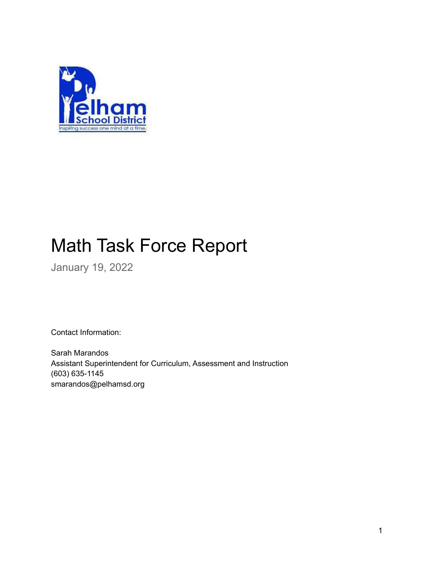

# Math Task Force Report

January 19, 2022

Contact Information:

Sarah Marandos Assistant Superintendent for Curriculum, Assessment and Instruction (603) 635-1145 smarandos@pelhamsd.org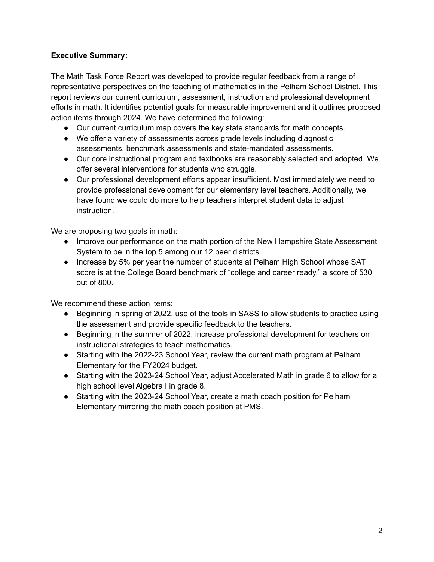### **Executive Summary:**

The Math Task Force Report was developed to provide regular feedback from a range of representative perspectives on the teaching of mathematics in the Pelham School District. This report reviews our current curriculum, assessment, instruction and professional development efforts in math. It identifies potential goals for measurable improvement and it outlines proposed action items through 2024. We have determined the following:

- Our current curriculum map covers the key state standards for math concepts.
- We offer a variety of assessments across grade levels including diagnostic assessments, benchmark assessments and state-mandated assessments.
- Our core instructional program and textbooks are reasonably selected and adopted. We offer several interventions for students who struggle.
- Our professional development efforts appear insufficient. Most immediately we need to provide professional development for our elementary level teachers. Additionally, we have found we could do more to help teachers interpret student data to adjust instruction.

We are proposing two goals in math:

- Improve our performance on the math portion of the New Hampshire State Assessment System to be in the top 5 among our 12 peer districts.
- Increase by 5% per year the number of students at Pelham High School whose SAT score is at the College Board benchmark of "college and career ready," a score of 530 out of 800.

We recommend these action items:

- Beginning in spring of 2022, use of the tools in SASS to allow students to practice using the assessment and provide specific feedback to the teachers.
- Beginning in the summer of 2022, increase professional development for teachers on instructional strategies to teach mathematics.
- Starting with the 2022-23 School Year, review the current math program at Pelham Elementary for the FY2024 budget.
- Starting with the 2023-24 School Year, adjust Accelerated Math in grade 6 to allow for a high school level Algebra I in grade 8.
- Starting with the 2023-24 School Year, create a math coach position for Pelham Elementary mirroring the math coach position at PMS.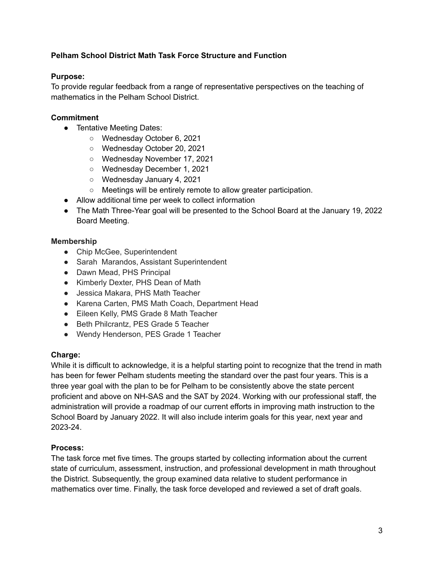### **Pelham School District Math Task Force Structure and Function**

#### **Purpose:**

To provide regular feedback from a range of representative perspectives on the teaching of mathematics in the Pelham School District.

### **Commitment**

- Tentative Meeting Dates:
	- Wednesday October 6, 2021
	- Wednesday October 20, 2021
	- Wednesday November 17, 2021
	- Wednesday December 1, 2021
	- Wednesday January 4, 2021
	- Meetings will be entirely remote to allow greater participation.
- Allow additional time per week to collect information
- The Math Three-Year goal will be presented to the School Board at the January 19, 2022 Board Meeting.

# **Membership**

- Chip McGee, Superintendent
- Sarah Marandos, Assistant Superintendent
- Dawn Mead, PHS Principal
- Kimberly Dexter, PHS Dean of Math
- Jessica Makara, PHS Math Teacher
- Karena Carten, PMS Math Coach, Department Head
- Eileen Kelly, PMS Grade 8 Math Teacher
- Beth Philcrantz, PES Grade 5 Teacher
- Wendy Henderson, PES Grade 1 Teacher

# **Charge:**

While it is difficult to acknowledge, it is a helpful starting point to recognize that the trend in math has been for fewer Pelham students meeting the standard over the past four years. This is a three year goal with the plan to be for Pelham to be consistently above the state percent proficient and above on NH-SAS and the SAT by 2024. Working with our professional staff, the administration will provide a roadmap of our current efforts in improving math instruction to the School Board by January 2022. It will also include interim goals for this year, next year and 2023-24.

#### **Process:**

The task force met five times. The groups started by collecting information about the current state of curriculum, assessment, instruction, and professional development in math throughout the District. Subsequently, the group examined data relative to student performance in mathematics over time. Finally, the task force developed and reviewed a set of draft goals.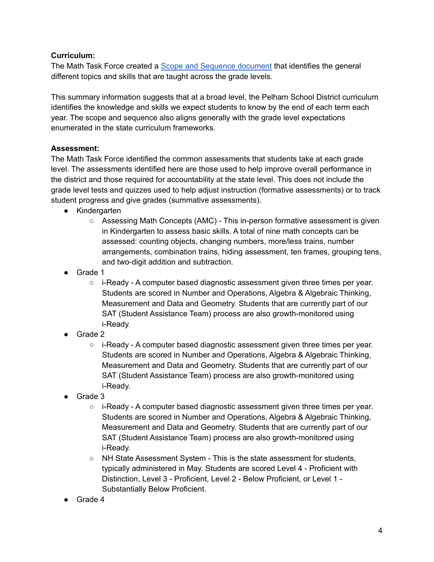### **Curriculum:**

The Math Task Force created a **Scope and [Sequence](https://docs.google.com/document/u/0/d/1H6JItn6CSHZzDZNrHE8J9Gr-EHABhb_XbgtHx1WL5YU/edit) document** that identifies the general different topics and skills that are taught across the grade levels.

This summary information suggests that at a broad level, the Pelham School District curriculum identifies the knowledge and skills we expect students to know by the end of each term each year. The scope and sequence also aligns generally with the grade level expectations enumerated in the state curriculum frameworks.

# **Assessment:**

The Math Task Force identified the common assessments that students take at each grade level. The assessments identified here are those used to help improve overall performance in the district and those required for accountability at the state level. This does not include the grade level tests and quizzes used to help adjust instruction (formative assessments) or to track student progress and give grades (summative assessments).

- **●** Kindergarten
	- Assessing Math Concepts (AMC) This in-person formative assessment is given in Kindergarten to assess basic skills. A total of nine math concepts can be assessed: counting objects, changing numbers, more/less trains, number arrangements, combination trains, hiding assessment, ten frames, grouping tens, and two-digit addition and subtraction.
- Grade 1
	- $\circ$  i-Ready A computer based diagnostic assessment given three times per year. Students are scored in Number and Operations, Algebra & Algebraic Thinking, Measurement and Data and Geometry. Students that are currently part of our SAT (Student Assistance Team) process are also growth-monitored using i-Ready.
- Grade 2
	- $\circ$  i-Ready A computer based diagnostic assessment given three times per year. Students are scored in Number and Operations, Algebra & Algebraic Thinking, Measurement and Data and Geometry. Students that are currently part of our SAT (Student Assistance Team) process are also growth-monitored using i-Ready.
- Grade 3
	- $\circ$  i-Ready A computer based diagnostic assessment given three times per year. Students are scored in Number and Operations, Algebra & Algebraic Thinking, Measurement and Data and Geometry. Students that are currently part of our SAT (Student Assistance Team) process are also growth-monitored using i-Ready.
	- NH State Assessment System This is the state assessment for students, typically administered in May. Students are scored Level 4 - Proficient with Distinction, Level 3 - Proficient, Level 2 - Below Proficient, or Level 1 - Substantially Below Proficient.
- Grade 4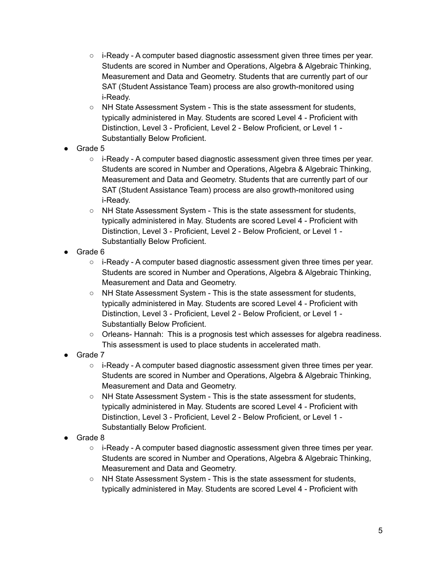- $\circ$  i-Ready A computer based diagnostic assessment given three times per year. Students are scored in Number and Operations, Algebra & Algebraic Thinking, Measurement and Data and Geometry. Students that are currently part of our SAT (Student Assistance Team) process are also growth-monitored using i-Ready.
- NH State Assessment System This is the state assessment for students, typically administered in May. Students are scored Level 4 - Proficient with Distinction, Level 3 - Proficient, Level 2 - Below Proficient, or Level 1 - Substantially Below Proficient.
- Grade 5
	- $\circ$  i-Ready A computer based diagnostic assessment given three times per year. Students are scored in Number and Operations, Algebra & Algebraic Thinking, Measurement and Data and Geometry. Students that are currently part of our SAT (Student Assistance Team) process are also growth-monitored using i-Ready.
	- NH State Assessment System This is the state assessment for students, typically administered in May. Students are scored Level 4 - Proficient with Distinction, Level 3 - Proficient, Level 2 - Below Proficient, or Level 1 - Substantially Below Proficient.
- Grade 6
	- $\circ$  i-Ready A computer based diagnostic assessment given three times per year. Students are scored in Number and Operations, Algebra & Algebraic Thinking, Measurement and Data and Geometry.
	- NH State Assessment System This is the state assessment for students, typically administered in May. Students are scored Level 4 - Proficient with Distinction, Level 3 - Proficient, Level 2 - Below Proficient, or Level 1 - Substantially Below Proficient.
	- Orleans- Hannah: This is a prognosis test which assesses for algebra readiness. This assessment is used to place students in accelerated math.
- Grade 7
	- i-Ready A computer based diagnostic assessment given three times per year. Students are scored in Number and Operations, Algebra & Algebraic Thinking, Measurement and Data and Geometry.
	- NH State Assessment System This is the state assessment for students, typically administered in May. Students are scored Level 4 - Proficient with Distinction, Level 3 - Proficient, Level 2 - Below Proficient, or Level 1 - Substantially Below Proficient.
- Grade 8
	- $\circ$  i-Ready A computer based diagnostic assessment given three times per year. Students are scored in Number and Operations, Algebra & Algebraic Thinking, Measurement and Data and Geometry.
	- NH State Assessment System This is the state assessment for students, typically administered in May. Students are scored Level 4 - Proficient with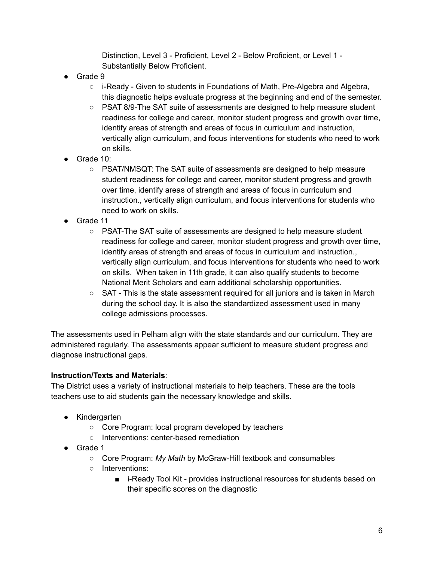Distinction, Level 3 - Proficient, Level 2 - Below Proficient, or Level 1 - Substantially Below Proficient.

- Grade 9
	- $\circ$  i-Ready Given to students in Foundations of Math, Pre-Algebra and Algebra, this diagnostic helps evaluate progress at the beginning and end of the semester.
	- PSAT 8/9-The SAT suite of assessments are designed to help measure student readiness for college and career, monitor student progress and growth over time, identify areas of strength and areas of focus in curriculum and instruction, vertically align curriculum, and focus interventions for students who need to work on skills.
- Grade 10:
	- PSAT/NMSQT: The SAT suite of assessments are designed to help measure student readiness for college and career, monitor student progress and growth over time, identify areas of strength and areas of focus in curriculum and instruction., vertically align curriculum, and focus interventions for students who need to work on skills.
- Grade 11
	- PSAT-The SAT suite of assessments are designed to help measure student readiness for college and career, monitor student progress and growth over time, identify areas of strength and areas of focus in curriculum and instruction., vertically align curriculum, and focus interventions for students who need to work on skills. When taken in 11th grade, it can also qualify students to become National Merit Scholars and earn additional scholarship opportunities.
	- $\circ$  SAT This is the state assessment required for all juniors and is taken in March during the school day. It is also the standardized assessment used in many college admissions processes.

The assessments used in Pelham align with the state standards and our curriculum. They are administered regularly. The assessments appear sufficient to measure student progress and diagnose instructional gaps.

#### **Instruction/Texts and Materials**:

The District uses a variety of instructional materials to help teachers. These are the tools teachers use to aid students gain the necessary knowledge and skills.

- Kindergarten
	- Core Program: local program developed by teachers
	- Interventions: center-based remediation
- Grade 1
	- Core Program: *My Math* by McGraw-Hill textbook and consumables
	- Interventions:
		- i-Ready Tool Kit provides instructional resources for students based on their specific scores on the diagnostic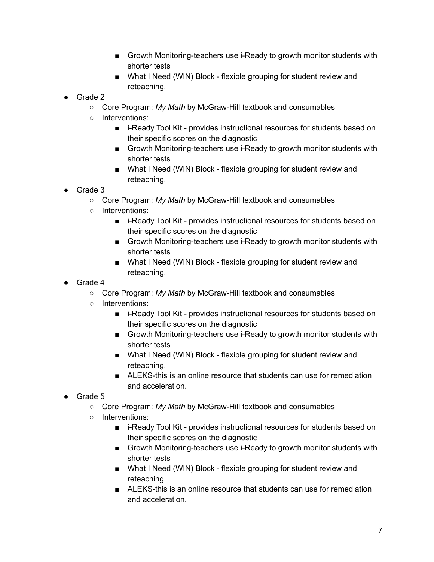- Growth Monitoring-teachers use i-Ready to growth monitor students with shorter tests
- What I Need (WIN) Block flexible grouping for student review and reteaching.
- Grade 2
	- Core Program: *My Math* by McGraw-Hill textbook and consumables
	- Interventions:
		- i-Ready Tool Kit provides instructional resources for students based on their specific scores on the diagnostic
		- Growth Monitoring-teachers use i-Ready to growth monitor students with shorter tests
		- What I Need (WIN) Block flexible grouping for student review and reteaching.
- Grade 3
	- Core Program: *My Math* by McGraw-Hill textbook and consumables
	- Interventions:
		- i-Ready Tool Kit provides instructional resources for students based on their specific scores on the diagnostic
		- Growth Monitoring-teachers use i-Ready to growth monitor students with shorter tests
		- What I Need (WIN) Block flexible grouping for student review and reteaching.
- Grade 4
	- Core Program: *My Math* by McGraw-Hill textbook and consumables
	- Interventions:
		- i-Ready Tool Kit provides instructional resources for students based on their specific scores on the diagnostic
		- Growth Monitoring-teachers use i-Ready to growth monitor students with shorter tests
		- What I Need (WIN) Block flexible grouping for student review and reteaching.
		- ALEKS-this is an online resource that students can use for remediation and acceleration.
- Grade 5
	- Core Program: *My Math* by McGraw-Hill textbook and consumables
	- Interventions:
		- i-Ready Tool Kit provides instructional resources for students based on their specific scores on the diagnostic
		- Growth Monitoring-teachers use i-Ready to growth monitor students with shorter tests
		- What I Need (WIN) Block flexible grouping for student review and reteaching.
		- ALEKS-this is an online resource that students can use for remediation and acceleration.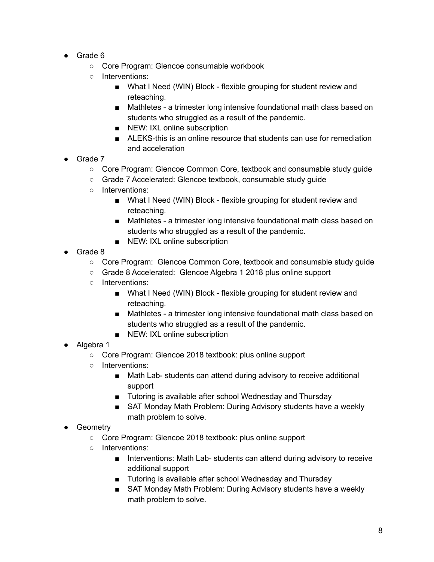- Grade 6
	- Core Program: Glencoe consumable workbook
	- Interventions:
		- What I Need (WIN) Block flexible grouping for student review and reteaching.
		- Mathletes a trimester long intensive foundational math class based on students who struggled as a result of the pandemic.
		- NEW: IXL online subscription
		- ALEKS-this is an online resource that students can use for remediation and acceleration
- Grade 7
	- Core Program: Glencoe Common Core, textbook and consumable study quide
	- Grade 7 Accelerated: Glencoe textbook, consumable study guide
	- Interventions:
		- What I Need (WIN) Block flexible grouping for student review and reteaching.
		- Mathletes a trimester long intensive foundational math class based on students who struggled as a result of the pandemic.
		- NEW: IXL online subscription
- Grade 8
	- Core Program: Glencoe Common Core, textbook and consumable study guide
	- Grade 8 Accelerated: Glencoe Algebra 1 2018 plus online support
	- Interventions:
		- What I Need (WIN) Block flexible grouping for student review and reteaching.
		- Mathletes a trimester long intensive foundational math class based on students who struggled as a result of the pandemic.
		- NEW: IXL online subscription
- Algebra 1
	- Core Program: Glencoe 2018 textbook: plus online support
	- Interventions:
		- Math Lab- students can attend during advisory to receive additional support
		- Tutoring is available after school Wednesday and Thursday
		- SAT Monday Math Problem: During Advisory students have a weekly math problem to solve.
- Geometry
	- Core Program: Glencoe 2018 textbook: plus online support
	- Interventions:
		- Interventions: Math Lab- students can attend during advisory to receive additional support
		- Tutoring is available after school Wednesday and Thursday
		- SAT Monday Math Problem: During Advisory students have a weekly math problem to solve.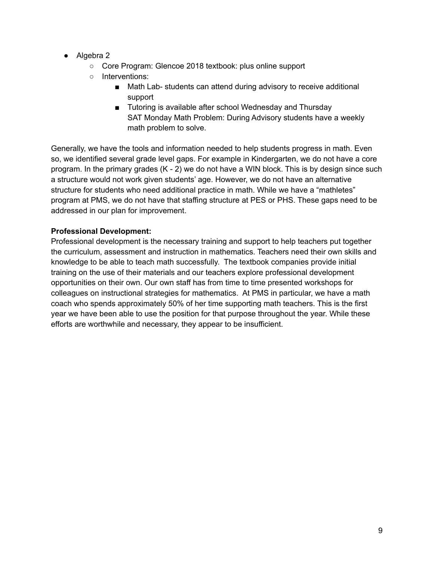- Algebra 2
	- Core Program: Glencoe 2018 textbook: plus online support
	- Interventions:
		- Math Lab- students can attend during advisory to receive additional support
		- Tutoring is available after school Wednesday and Thursday SAT Monday Math Problem: During Advisory students have a weekly math problem to solve.

Generally, we have the tools and information needed to help students progress in math. Even so, we identified several grade level gaps. For example in Kindergarten, we do not have a core program. In the primary grades (K - 2) we do not have a WIN block. This is by design since such a structure would not work given students' age. However, we do not have an alternative structure for students who need additional practice in math. While we have a "mathletes" program at PMS, we do not have that staffing structure at PES or PHS. These gaps need to be addressed in our plan for improvement.

# **Professional Development:**

Professional development is the necessary training and support to help teachers put together the curriculum, assessment and instruction in mathematics. Teachers need their own skills and knowledge to be able to teach math successfully. The textbook companies provide initial training on the use of their materials and our teachers explore professional development opportunities on their own. Our own staff has from time to time presented workshops for colleagues on instructional strategies for mathematics. At PMS in particular, we have a math coach who spends approximately 50% of her time supporting math teachers. This is the first year we have been able to use the position for that purpose throughout the year. While these efforts are worthwhile and necessary, they appear to be insufficient.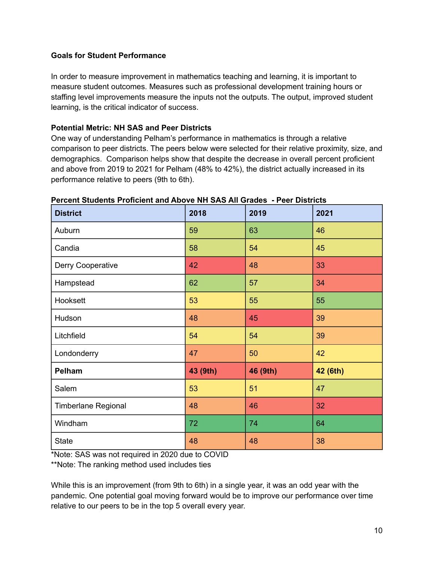#### **Goals for Student Performance**

In order to measure improvement in mathematics teaching and learning, it is important to measure student outcomes. Measures such as professional development training hours or staffing level improvements measure the inputs not the outputs. The output, improved student learning, is the critical indicator of success.

#### **Potential Metric: NH SAS and Peer Districts**

One way of understanding Pelham's performance in mathematics is through a relative comparison to peer districts. The peers below were selected for their relative proximity, size, and demographics. Comparison helps show that despite the decrease in overall percent proficient and above from 2019 to 2021 for Pelham (48% to 42%), the district actually increased in its performance relative to peers (9th to 6th).

| <b>District</b>            | 2018     | 2019     | 2021     |
|----------------------------|----------|----------|----------|
| Auburn                     | 59       | 63       | 46       |
| Candia                     | 58       | 54       | 45       |
| Derry Cooperative          | 42       | 48       | 33       |
| Hampstead                  | 62       | 57       | 34       |
| Hooksett                   | 53       | 55       | 55       |
| Hudson                     | 48       | 45       | 39       |
| Litchfield                 | 54       | 54       | 39       |
| Londonderry                | 47       | 50       | 42       |
| Pelham                     | 43 (9th) | 46 (9th) | 42 (6th) |
| Salem                      | 53       | 51       | 47       |
| <b>Timberlane Regional</b> | 48       | 46       | 32       |
| Windham                    | 72       | 74       | 64       |
| <b>State</b>               | 48       | 48       | 38       |

**Percent Students Proficient and Above NH SAS All Grades - Peer Districts**

\*Note: SAS was not required in 2020 due to COVID

\*\*Note: The ranking method used includes ties

While this is an improvement (from 9th to 6th) in a single year, it was an odd year with the pandemic. One potential goal moving forward would be to improve our performance over time relative to our peers to be in the top 5 overall every year.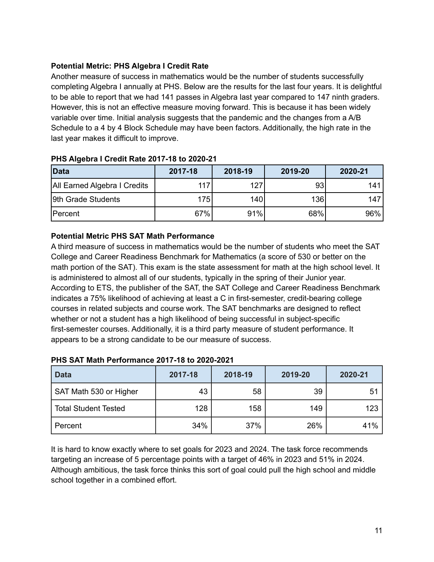# **Potential Metric: PHS Algebra I Credit Rate**

Another measure of success in mathematics would be the number of students successfully completing Algebra I annually at PHS. Below are the results for the last four years. It is delightful to be able to report that we had 141 passes in Algebra last year compared to 147 ninth graders. However, this is not an effective measure moving forward. This is because it has been widely variable over time. Initial analysis suggests that the pandemic and the changes from a A/B Schedule to a 4 by 4 Block Schedule may have been factors. Additionally, the high rate in the last year makes it difficult to improve.

| Data                         | 2017-18 | 2018-19          | 2019-20 | 2020-21 |
|------------------------------|---------|------------------|---------|---------|
| All Earned Algebra I Credits | 117     | 127              | 93      | 141     |
| 9th Grade Students           | 175     | 140 <sup>I</sup> | 136     | 147     |
| Percent                      | 67%     | 91%              | 68%     | 96%     |

#### **PHS Algebra I Credit Rate 2017-18 to 2020-21**

#### **Potential Metric PHS SAT Math Performance**

A third measure of success in mathematics would be the number of students who meet the SAT College and Career Readiness Benchmark for Mathematics (a score of 530 or better on the math portion of the SAT). This exam is the state assessment for math at the high school level. It is administered to almost all of our students, typically in the spring of their Junior year. According to ETS, the publisher of the SAT, the SAT College and Career Readiness Benchmark indicates a 75% likelihood of achieving at least a C in first-semester, credit-bearing college courses in related subjects and course work. The SAT benchmarks are designed to reflect whether or not a student has a high likelihood of being successful in subject-specific first-semester courses. Additionally, it is a third party measure of student performance. It appears to be a strong candidate to be our measure of success.

| <b>Data</b>                 | 2017-18 | 2018-19 | 2019-20 | 2020-21 |
|-----------------------------|---------|---------|---------|---------|
| SAT Math 530 or Higher      | 43      | 58      | 39      | 51      |
| <b>Total Student Tested</b> | 128     | 158     | 149     | 123     |
| Percent                     | 34%     | 37%     | 26%     | 41%     |

#### **PHS SAT Math Performance 2017-18 to 2020-2021**

It is hard to know exactly where to set goals for 2023 and 2024. The task force recommends targeting an increase of 5 percentage points with a target of 46% in 2023 and 51% in 2024. Although ambitious, the task force thinks this sort of goal could pull the high school and middle school together in a combined effort.